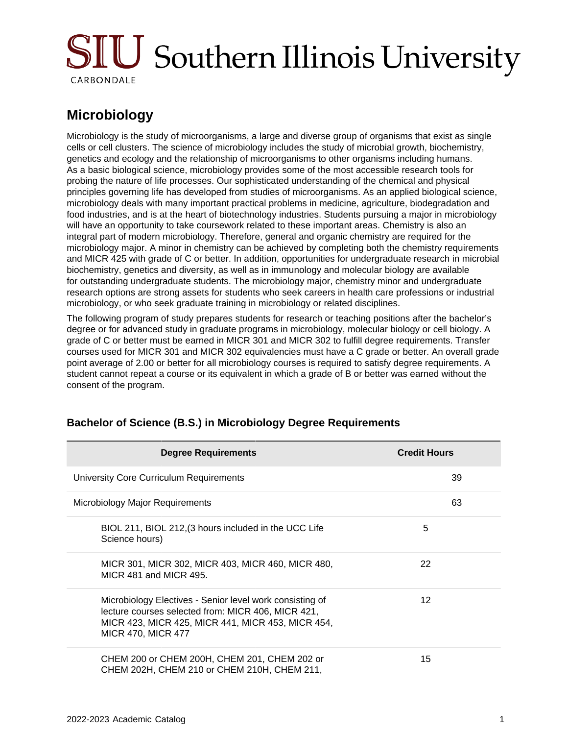# **SIU** Southern Illinois University CARBONDALE

# **Microbiology**

Microbiology is the study of microorganisms, a large and diverse group of organisms that exist as single cells or cell clusters. The science of microbiology includes the study of microbial growth, biochemistry, genetics and ecology and the relationship of microorganisms to other organisms including humans. As a basic biological science, microbiology provides some of the most accessible research tools for probing the nature of life processes. Our sophisticated understanding of the chemical and physical principles governing life has developed from studies of microorganisms. As an applied biological science, microbiology deals with many important practical problems in medicine, agriculture, biodegradation and food industries, and is at the heart of biotechnology industries. Students pursuing a major in microbiology will have an opportunity to take coursework related to these important areas. Chemistry is also an integral part of modern microbiology. Therefore, general and organic chemistry are required for the microbiology major. A minor in chemistry can be achieved by completing both the chemistry requirements and MICR 425 with grade of C or better. In addition, opportunities for undergraduate research in microbial biochemistry, genetics and diversity, as well as in immunology and molecular biology are available for outstanding undergraduate students. The microbiology major, chemistry minor and undergraduate research options are strong assets for students who seek careers in health care professions or industrial microbiology, or who seek graduate training in microbiology or related disciplines.

The following program of study prepares students for research or teaching positions after the bachelor's degree or for advanced study in graduate programs in microbiology, molecular biology or cell biology. A grade of C or better must be earned in MICR 301 and MICR 302 to fulfill degree requirements. Transfer courses used for MICR 301 and MICR 302 equivalencies must have a C grade or better. An overall grade point average of 2.00 or better for all microbiology courses is required to satisfy degree requirements. A student cannot repeat a course or its equivalent in which a grade of B or better was earned without the consent of the program.

| <b>Degree Requirements</b>                                                                                                                                                                       | <b>Credit Hours</b> |
|--------------------------------------------------------------------------------------------------------------------------------------------------------------------------------------------------|---------------------|
| University Core Curriculum Requirements                                                                                                                                                          | 39                  |
| Microbiology Major Requirements                                                                                                                                                                  | 63                  |
| BIOL 211, BIOL 212, (3 hours included in the UCC Life<br>Science hours)                                                                                                                          | 5                   |
| MICR 301, MICR 302, MICR 403, MICR 460, MICR 480,<br>MICR 481 and MICR 495.                                                                                                                      | 22                  |
| Microbiology Electives - Senior level work consisting of<br>lecture courses selected from: MICR 406, MICR 421,<br>MICR 423, MICR 425, MICR 441, MICR 453, MICR 454,<br><b>MICR 470, MICR 477</b> | 12                  |
| CHEM 200 or CHEM 200H, CHEM 201, CHEM 202 or<br>CHEM 202H, CHEM 210 or CHEM 210H, CHEM 211,                                                                                                      | 15                  |

#### **Bachelor of Science (B.S.) in Microbiology Degree Requirements**